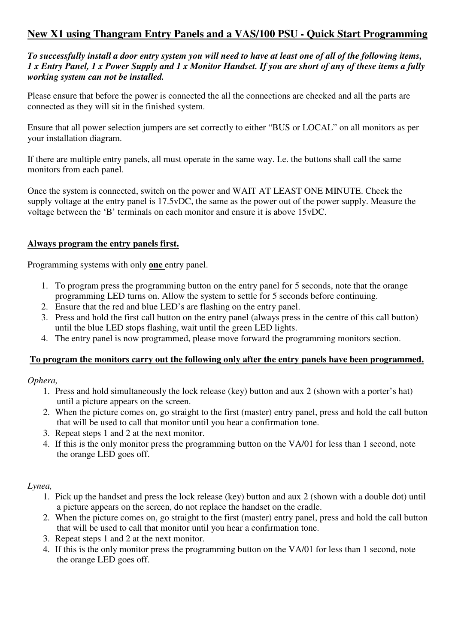# **New X1 using Thangram Entry Panels and a VAS/100 PSU - Quick Start Programming**

*To successfully install a door entry system you will need to have at least one of all of the following items, 1 x Entry Panel, 1 x Power Supply and 1 x Monitor Handset. If you are short of any of these items a fully working system can not be installed.* 

Please ensure that before the power is connected the all the connections are checked and all the parts are connected as they will sit in the finished system.

Ensure that all power selection jumpers are set correctly to either "BUS or LOCAL" on all monitors as per your installation diagram.

If there are multiple entry panels, all must operate in the same way. I.e. the buttons shall call the same monitors from each panel.

Once the system is connected, switch on the power and WAIT AT LEAST ONE MINUTE. Check the supply voltage at the entry panel is 17.5vDC, the same as the power out of the power supply. Measure the voltage between the 'B' terminals on each monitor and ensure it is above 15vDC.

#### **Always program the entry panels first.**

Programming systems with only **one** entry panel.

- 1. To program press the programming button on the entry panel for 5 seconds, note that the orange programming LED turns on. Allow the system to settle for 5 seconds before continuing.
- 2. Ensure that the red and blue LED's are flashing on the entry panel.
- 3. Press and hold the first call button on the entry panel (always press in the centre of this call button) until the blue LED stops flashing, wait until the green LED lights.
- 4. The entry panel is now programmed, please move forward the programming monitors section.

#### **To program the monitors carry out the following only after the entry panels have been programmed.**

#### *Ophera,*

- 1. Press and hold simultaneously the lock release (key) button and aux 2 (shown with a porter's hat) until a picture appears on the screen.
- 2. When the picture comes on, go straight to the first (master) entry panel, press and hold the call button that will be used to call that monitor until you hear a confirmation tone.
- 3. Repeat steps 1 and 2 at the next monitor.
- 4. If this is the only monitor press the programming button on the VA/01 for less than 1 second, note the orange LED goes off.

#### *Lynea,*

- 1. Pick up the handset and press the lock release (key) button and aux 2 (shown with a double dot) until a picture appears on the screen, do not replace the handset on the cradle.
- 2. When the picture comes on, go straight to the first (master) entry panel, press and hold the call button that will be used to call that monitor until you hear a confirmation tone.
- 3. Repeat steps 1 and 2 at the next monitor.
- 4. If this is the only monitor press the programming button on the VA/01 for less than 1 second, note the orange LED goes off.